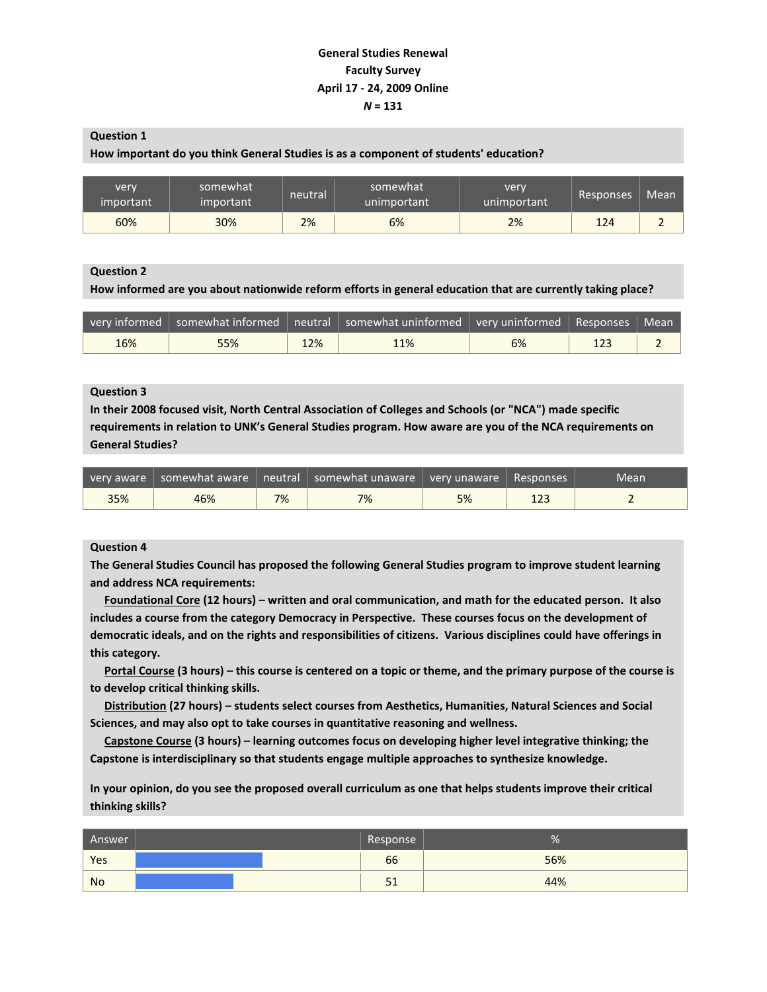## **General Studies Renewal Faculty Survey April 17 - 24, 2009 Online** *N* **= 131**

**Question 1**

#### **How important do you think General Studies is as a component of students' education?**

| very<br>important | somewhat<br>important | neutral | somewhat<br>unimportant | very<br>unimportant | Responses | Mean |
|-------------------|-----------------------|---------|-------------------------|---------------------|-----------|------|
| 60%               | 30%                   | 2%      | 6%                      | 2%                  | 124       |      |

#### **Question 2**

**How informed are you about nationwide reform efforts in general education that are currently taking place?**

|     |     |     | very informed   somewhat informed   neutral   somewhat uninformed   very uninformed   Responses |    | $\sqrt{2}$ Mean |
|-----|-----|-----|-------------------------------------------------------------------------------------------------|----|-----------------|
| 16% | 55% | 12% | 11%                                                                                             | 6% |                 |

## **Question 3**

**In their 2008 focused visit, North Central Association of Colleges and Schools (or "NCA") made specific requirements in relation to UNK's General Studies program. How aware are you of the NCA requirements on General Studies?**

|     |     |    | very aware somewhat aware sheetral somewhat unaware very unaware Responses |    |     | Mean |
|-----|-----|----|----------------------------------------------------------------------------|----|-----|------|
| 35% | 46% | 7% | 7%                                                                         | 5% | 123 |      |

#### **Question 4**

**The General Studies Council has proposed the following General Studies program to improve student learning and address NCA requirements:**

 **Foundational Core (12 hours) – written and oral communication, and math for the educated person. It also includes a course from the category Democracy in Perspective. These courses focus on the development of democratic ideals, and on the rights and responsibilities of citizens. Various disciplines could have offerings in this category.**

 **Portal Course (3 hours) – this course is centered on a topic or theme, and the primary purpose of the course is to develop critical thinking skills.**

 **Distribution (27 hours) – students select courses from Aesthetics, Humanities, Natural Sciences and Social Sciences, and may also opt to take courses in quantitative reasoning and wellness.**

 **Capstone Course (3 hours) – learning outcomes focus on developing higher level integrative thinking; the Capstone is interdisciplinary so that students engage multiple approaches to synthesize knowledge.**

**In your opinion, do you see the proposed overall curriculum as one that helps students improve their critical thinking skills?**

| Answer    | Response | 70  |
|-----------|----------|-----|
| Yes       | 66       | 56% |
| <b>No</b> | ⊥ ب      | 44% |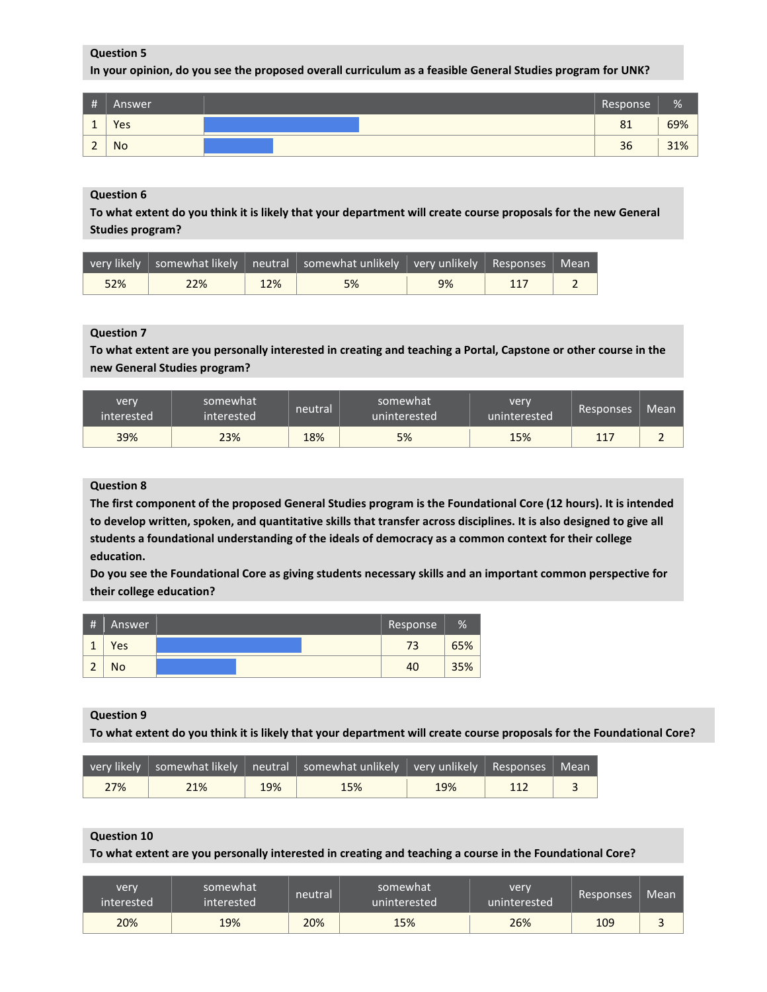**In your opinion, do you see the proposed overall curriculum as a feasible General Studies program for UNK?**

| #        | Answer | Response | %   |
|----------|--------|----------|-----|
| <b>.</b> | Yes    | 81       | 69% |
| <u>.</u> | No     | 36       | 31% |

#### **Question 6**

**To what extent do you think it is likely that your department will create course proposals for the new General Studies program?**

|     |     |     | very likely somewhat likely sneutral somewhat unlikely svery unlikely Responses Mean |    |     |  |
|-----|-----|-----|--------------------------------------------------------------------------------------|----|-----|--|
| 52% | 22% | 12% | 5%                                                                                   | 9% | 117 |  |

## **Question 7**

**To what extent are you personally interested in creating and teaching a Portal, Capstone or other course in the new General Studies program?**

| very<br>linterested ! | somewhat<br>interested | neutral | somewhat<br>'uninterested. | very<br>uninterested | Responses  | Mean |
|-----------------------|------------------------|---------|----------------------------|----------------------|------------|------|
| 39%                   | 23%                    | 18%     | 5%                         | 15%                  | 117<br>ᅩᅩノ |      |

#### **Question 8**

**The first component of the proposed General Studies program is the Foundational Core (12 hours). It is intended to develop written, spoken, and quantitative skills that transfer across disciplines. It is also designed to give all students a foundational understanding of the ideals of democracy as a common context for their college education.**

**Do you see the Foundational Core as giving students necessary skills and an important common perspective for their college education?**

| #                             | Answer | Response | %   |
|-------------------------------|--------|----------|-----|
| $\overline{a}$<br>-           | Yes    | 73       | 65% |
| $\overline{\phantom{a}}$<br>c | No     | 40       | 35% |

#### **Question 9**

**To what extent do you think it is likely that your department will create course proposals for the Foundational Core?**

|     |     |     | $\vert$ very likely $\vert$ somewhat likely $\vert$ neutral $\vert$ somewhat unlikely $\vert$ very unlikely $\vert$ Responses $\vert$ Mean $\vert$ |     |     |  |
|-----|-----|-----|----------------------------------------------------------------------------------------------------------------------------------------------------|-----|-----|--|
| 27% | 21% | 19% | 15%                                                                                                                                                | 19% | 112 |  |

#### **Question 10**

**To what extent are you personally interested in creating and teaching a course in the Foundational Core?**

| very<br>interested | somewhat <sup>1</sup><br>interested | neutral | somewhat<br>uninterested | very<br>uninterested | Responses | Mean |
|--------------------|-------------------------------------|---------|--------------------------|----------------------|-----------|------|
| 20%                | 19%                                 | 20%     | 15%                      | 26%                  | 109       |      |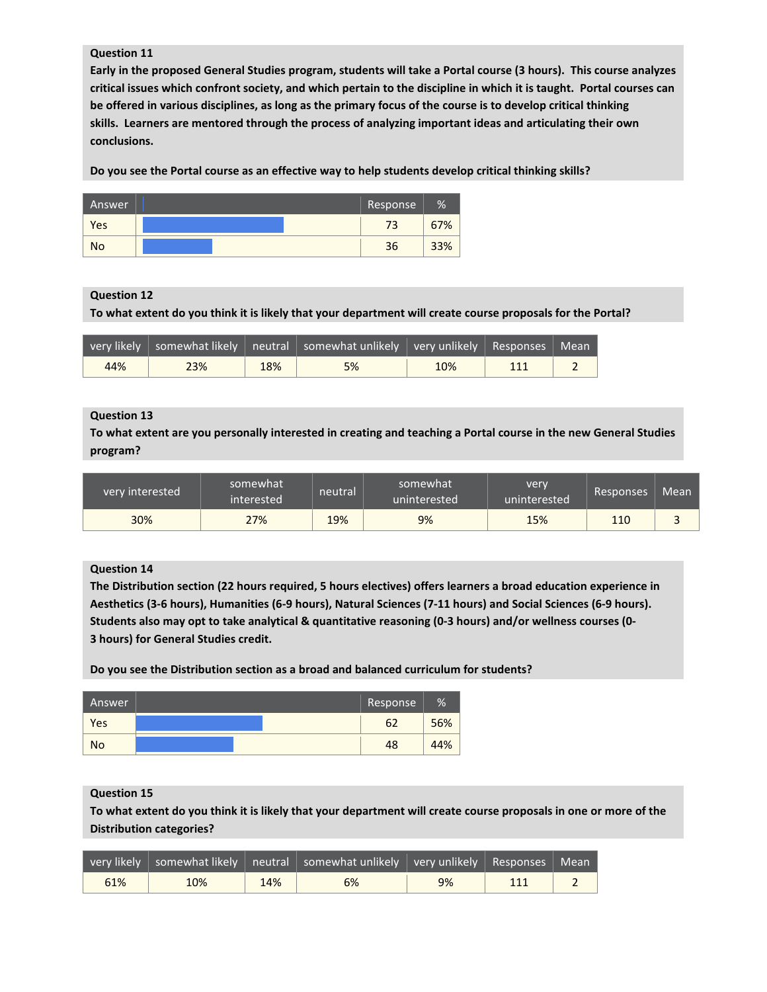**Early in the proposed General Studies program, students will take a Portal course (3 hours). This course analyzes critical issues which confront society, and which pertain to the discipline in which it is taught. Portal courses can be offered in various disciplines, as long as the primary focus of the course is to develop critical thinking skills. Learners are mentored through the process of analyzing important ideas and articulating their own conclusions.**

**Do you see the Portal course as an effective way to help students develop critical thinking skills?**

| Answer    | Response | %   |
|-----------|----------|-----|
| Yes       | 73       | 67% |
| <b>No</b> | 36       | 33% |

#### **Question 12**

**To what extent do you think it is likely that your department will create course proposals for the Portal?**

|     |     |     | very likely   somewhat likely   neutral   somewhat unlikely   very unlikely   Responses   Mean |     |     |  |
|-----|-----|-----|------------------------------------------------------------------------------------------------|-----|-----|--|
| 44% | 23% | 18% | 5%                                                                                             | 10% | 111 |  |

#### **Question 13**

**To what extent are you personally interested in creating and teaching a Portal course in the new General Studies program?**

| very interested | somewhat<br>interested | neutral | somewhat<br>uninterested | very<br>uninterested | Responses | Mean |
|-----------------|------------------------|---------|--------------------------|----------------------|-----------|------|
| 30%             | 27%                    | 19%     | 9%                       | 15%                  | 110       |      |

## **Question 14**

**The Distribution section (22 hours required, 5 hours electives) offers learners a broad education experience in Aesthetics (3-6 hours), Humanities (6-9 hours), Natural Sciences (7-11 hours) and Social Sciences (6-9 hours). Students also may opt to take analytical & quantitative reasoning (0-3 hours) and/or wellness courses (0- 3 hours) for General Studies credit.**

**Do you see the Distribution section as a broad and balanced curriculum for students?**

| Answer    | Response | %   |
|-----------|----------|-----|
| Yes       | 62       | 56% |
| <b>No</b> | 48       | 44% |

**Question 15**

**To what extent do you think it is likely that your department will create course proposals in one or more of the Distribution categories?**

|     |     |     | $\sqrt{1}$ very likely $\mid$ somewhat likely $\mid$ neutral $\mid$ somewhat unlikely $\mid$ very unlikely $\mid$ Responses $\mid$ Mean $\mid$ |    |  |
|-----|-----|-----|------------------------------------------------------------------------------------------------------------------------------------------------|----|--|
| 61% | 10% | 14% | 6%                                                                                                                                             | 9% |  |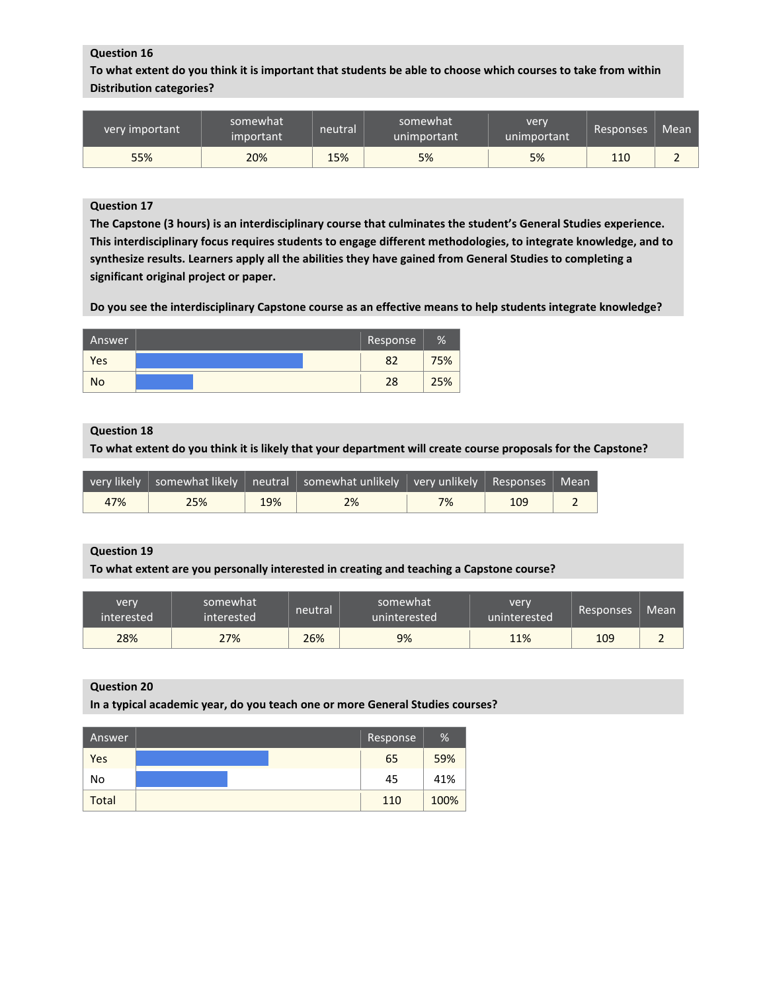**To what extent do you think it is important that students be able to choose which courses to take from within Distribution categories?**

| very important | somewhat<br>important | neutral | somewhat<br>unimportant | very<br>unimportant | Responses | Mean |
|----------------|-----------------------|---------|-------------------------|---------------------|-----------|------|
| 55%            | 20%                   | 15%     | 5%                      | 5%                  | 110       |      |

## **Question 17**

**The Capstone (3 hours) is an interdisciplinary course that culminates the student's General Studies experience. This interdisciplinary focus requires students to engage different methodologies, to integrate knowledge, and to synthesize results. Learners apply all the abilities they have gained from General Studies to completing a significant original project or paper.**

**Do you see the interdisciplinary Capstone course as an effective means to help students integrate knowledge?**

| 'Answer   | Response | % |
|-----------|----------|---|
| Yes       |          |   |
| <b>No</b> | 28       |   |

## **Question 18**

**To what extent do you think it is likely that your department will create course proposals for the Capstone?**

|     |     |     | very likely   somewhat likely   neutral   somewhat unlikely   very unlikely   Responses   Mean ' |    |     |  |
|-----|-----|-----|--------------------------------------------------------------------------------------------------|----|-----|--|
| 47% | 25% | 19% | 2%                                                                                               | 7% | 109 |  |

#### **Question 19**

**To what extent are you personally interested in creating and teaching a Capstone course?**

| very<br>interested | somewhat<br>interested | neutral | somewhat<br>uninterested | very<br>uninterested | Responses | Mean <sup>1</sup> |
|--------------------|------------------------|---------|--------------------------|----------------------|-----------|-------------------|
| 28%                | 27%                    | 26%     | 9%                       | 11%                  | 109       |                   |

#### **Question 20**

**In a typical academic year, do you teach one or more General Studies courses?**

| Answer       | Response | %    |
|--------------|----------|------|
| Yes          | 65       | 59%  |
| No           | 45       | 41%  |
| <b>Total</b> | 110      | 100% |